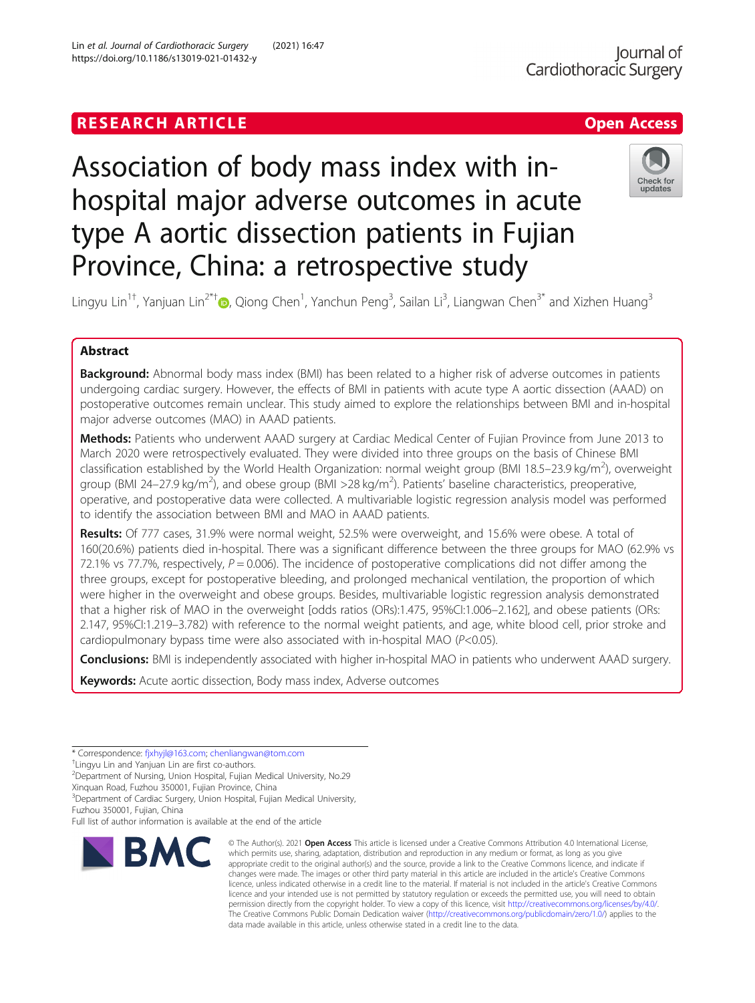https://doi.org/10.1186/s13019-021-01432-y

Lin et al. Journal of Cardiothoracic Surgery (2021) 16:47

# Association of body mass index with inhospital major adverse outcomes in acute type A aortic dissection patients in Fujian Province, China: a retrospective study



Lingyu Lin<sup>1†</sup>[,](http://orcid.org/0000-0002-3461-6271) Yanjuan Lin<sup>2\*†</sup>®, Qiong Chen<sup>1</sup>, Yanchun Peng<sup>3</sup>, Sailan Li<sup>3</sup>, Liangwan Chen<sup>3\*</sup> and Xizhen Huang<sup>3</sup>

### Abstract

**Background:** Abnormal body mass index (BMI) has been related to a higher risk of adverse outcomes in patients undergoing cardiac surgery. However, the effects of BMI in patients with acute type A aortic dissection (AAAD) on postoperative outcomes remain unclear. This study aimed to explore the relationships between BMI and in-hospital major adverse outcomes (MAO) in AAAD patients.

Methods: Patients who underwent AAAD surgery at Cardiac Medical Center of Fujian Province from June 2013 to March 2020 were retrospectively evaluated. They were divided into three groups on the basis of Chinese BMI classification established by the World Health Organization: normal weight group (BMI 18.5–23.9 kg/m<sup>2</sup>), overweight group (BMI 24–27.9 kg/m<sup>2</sup>), and obese group (BMI >28 kg/m<sup>2</sup>). Patients' baseline characteristics, preoperative, operative, and postoperative data were collected. A multivariable logistic regression analysis model was performed to identify the association between BMI and MAO in AAAD patients.

Results: Of 777 cases, 31.9% were normal weight, 52.5% were overweight, and 15.6% were obese. A total of 160(20.6%) patients died in-hospital. There was a significant difference between the three groups for MAO (62.9% vs 72.1% vs 77.7%, respectively,  $P = 0.006$ ). The incidence of postoperative complications did not differ among the three groups, except for postoperative bleeding, and prolonged mechanical ventilation, the proportion of which were higher in the overweight and obese groups. Besides, multivariable logistic regression analysis demonstrated that a higher risk of MAO in the overweight [odds ratios (ORs):1.475, 95%CI:1.006–2.162], and obese patients (ORs: 2.147, 95%CI:1.219–3.782) with reference to the normal weight patients, and age, white blood cell, prior stroke and cardiopulmonary bypass time were also associated with in-hospital MAO (P<0.05).

Conclusions: BMI is independently associated with higher in-hospital MAO in patients who underwent AAAD surgery.

**Keywords:** Acute aortic dissection, Body mass index, Adverse outcomes

<sup>+</sup>Lingyu Lin and Yanjuan Lin are first co-authors.

<sup>2</sup>Department of Nursing, Union Hospital, Fujian Medical University, No.29

Xinquan Road, Fuzhou 350001, Fujian Province, China

<sup>3</sup> Department of Cardiac Surgery, Union Hospital, Fujian Medical University,

Fuzhou 350001, Fujian, China

Full list of author information is available at the end of the article



<sup>©</sup> The Author(s), 2021 **Open Access** This article is licensed under a Creative Commons Attribution 4.0 International License, which permits use, sharing, adaptation, distribution and reproduction in any medium or format, as long as you give appropriate credit to the original author(s) and the source, provide a link to the Creative Commons licence, and indicate if changes were made. The images or other third party material in this article are included in the article's Creative Commons licence, unless indicated otherwise in a credit line to the material. If material is not included in the article's Creative Commons licence and your intended use is not permitted by statutory regulation or exceeds the permitted use, you will need to obtain permission directly from the copyright holder. To view a copy of this licence, visit [http://creativecommons.org/licenses/by/4.0/.](http://creativecommons.org/licenses/by/4.0/) The Creative Commons Public Domain Dedication waiver [\(http://creativecommons.org/publicdomain/zero/1.0/](http://creativecommons.org/publicdomain/zero/1.0/)) applies to the data made available in this article, unless otherwise stated in a credit line to the data.

<sup>\*</sup> Correspondence: [fjxhyjl@163.com](mailto:fjxhyjl@163.com); [chenliangwan@tom.com](mailto:chenliangwan@tom.com) †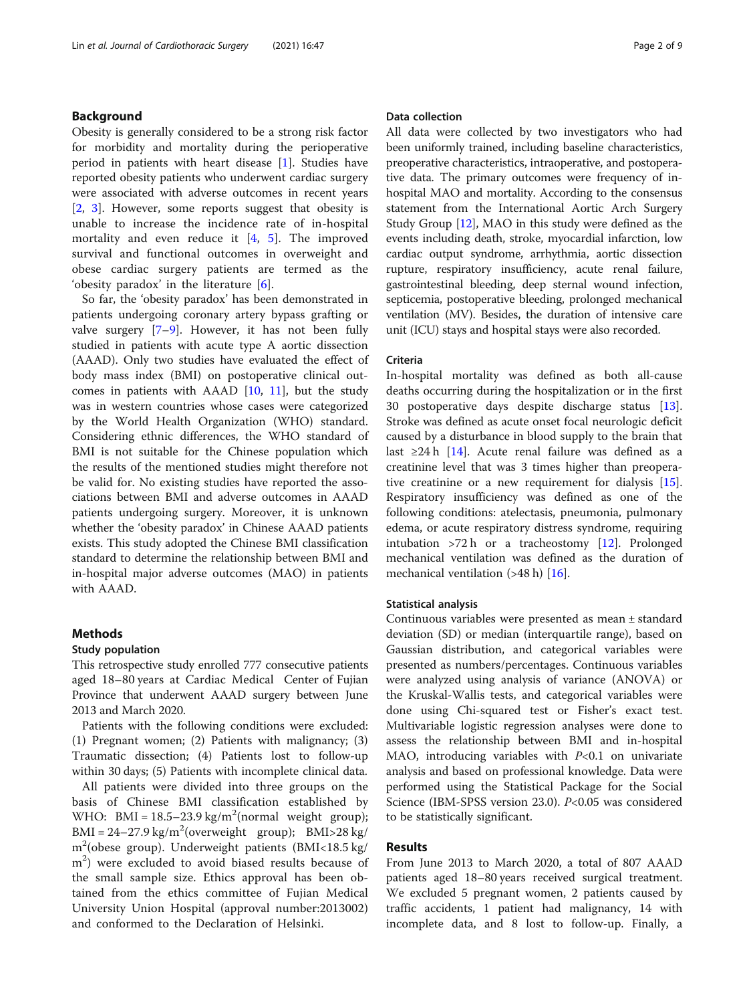#### Background

Obesity is generally considered to be a strong risk factor for morbidity and mortality during the perioperative period in patients with heart disease [[1](#page-6-0)]. Studies have reported obesity patients who underwent cardiac surgery were associated with adverse outcomes in recent years [[2,](#page-6-0) [3](#page-6-0)]. However, some reports suggest that obesity is unable to increase the incidence rate of in-hospital mortality and even reduce it  $[4, 5]$  $[4, 5]$  $[4, 5]$  $[4, 5]$  $[4, 5]$ . The improved survival and functional outcomes in overweight and obese cardiac surgery patients are termed as the 'obesity paradox' in the literature  $[6]$  $[6]$ .

So far, the 'obesity paradox' has been demonstrated in patients undergoing coronary artery bypass grafting or valve surgery [[7](#page-6-0)–[9\]](#page-7-0). However, it has not been fully studied in patients with acute type A aortic dissection (AAAD). Only two studies have evaluated the effect of body mass index (BMI) on postoperative clinical outcomes in patients with AAAD  $[10, 11]$  $[10, 11]$  $[10, 11]$  $[10, 11]$  $[10, 11]$ , but the study was in western countries whose cases were categorized by the World Health Organization (WHO) standard. Considering ethnic differences, the WHO standard of BMI is not suitable for the Chinese population which the results of the mentioned studies might therefore not be valid for. No existing studies have reported the associations between BMI and adverse outcomes in AAAD patients undergoing surgery. Moreover, it is unknown whether the 'obesity paradox' in Chinese AAAD patients exists. This study adopted the Chinese BMI classification standard to determine the relationship between BMI and in-hospital major adverse outcomes (MAO) in patients with AAAD.

#### Methods

#### Study population

This retrospective study enrolled 777 consecutive patients aged 18–80 years at Cardiac Medical Center of Fujian Province that underwent AAAD surgery between June 2013 and March 2020.

Patients with the following conditions were excluded: (1) Pregnant women; (2) Patients with malignancy; (3) Traumatic dissection; (4) Patients lost to follow-up within 30 days; (5) Patients with incomplete clinical data.

All patients were divided into three groups on the basis of Chinese BMI classification established by WHO: BMI =  $18.5 - 23.9 \text{ kg/m}^2$ (normal weight group);  $BMI = 24-27.9 kg/m<sup>2</sup>(overweight group); BMI > 28 kg/$ m2 (obese group). Underweight patients (BMI<18.5 kg/ m<sup>2</sup>) were excluded to avoid biased results because of the small sample size. Ethics approval has been obtained from the ethics committee of Fujian Medical University Union Hospital (approval number:2013002) and conformed to the Declaration of Helsinki.

#### Data collection

All data were collected by two investigators who had been uniformly trained, including baseline characteristics, preoperative characteristics, intraoperative, and postoperative data. The primary outcomes were frequency of inhospital MAO and mortality. According to the consensus statement from the International Aortic Arch Surgery Study Group [[12](#page-7-0)], MAO in this study were defined as the events including death, stroke, myocardial infarction, low cardiac output syndrome, arrhythmia, aortic dissection rupture, respiratory insufficiency, acute renal failure, gastrointestinal bleeding, deep sternal wound infection, septicemia, postoperative bleeding, prolonged mechanical ventilation (MV). Besides, the duration of intensive care unit (ICU) stays and hospital stays were also recorded.

#### Criteria

In-hospital mortality was defined as both all-cause deaths occurring during the hospitalization or in the first 30 postoperative days despite discharge status [\[13](#page-7-0)]. Stroke was defined as acute onset focal neurologic deficit caused by a disturbance in blood supply to the brain that last ≥24 h [[14](#page-7-0)]. Acute renal failure was defined as a creatinine level that was 3 times higher than preoperative creatinine or a new requirement for dialysis [\[15](#page-7-0)]. Respiratory insufficiency was defined as one of the following conditions: atelectasis, pneumonia, pulmonary edema, or acute respiratory distress syndrome, requiring intubation >72 h or a tracheostomy [[12\]](#page-7-0). Prolonged mechanical ventilation was defined as the duration of mechanical ventilation (>48 h) [[16\]](#page-7-0).

#### Statistical analysis

Continuous variables were presented as mean ± standard deviation (SD) or median (interquartile range), based on Gaussian distribution, and categorical variables were presented as numbers/percentages. Continuous variables were analyzed using analysis of variance (ANOVA) or the Kruskal-Wallis tests, and categorical variables were done using Chi-squared test or Fisher's exact test. Multivariable logistic regression analyses were done to assess the relationship between BMI and in-hospital MAO, introducing variables with  $P<0.1$  on univariate analysis and based on professional knowledge. Data were performed using the Statistical Package for the Social Science (IBM-SPSS version 23.0). P<0.05 was considered to be statistically significant.

#### Results

From June 2013 to March 2020, a total of 807 AAAD patients aged 18–80 years received surgical treatment. We excluded 5 pregnant women, 2 patients caused by traffic accidents, 1 patient had malignancy, 14 with incomplete data, and 8 lost to follow-up. Finally, a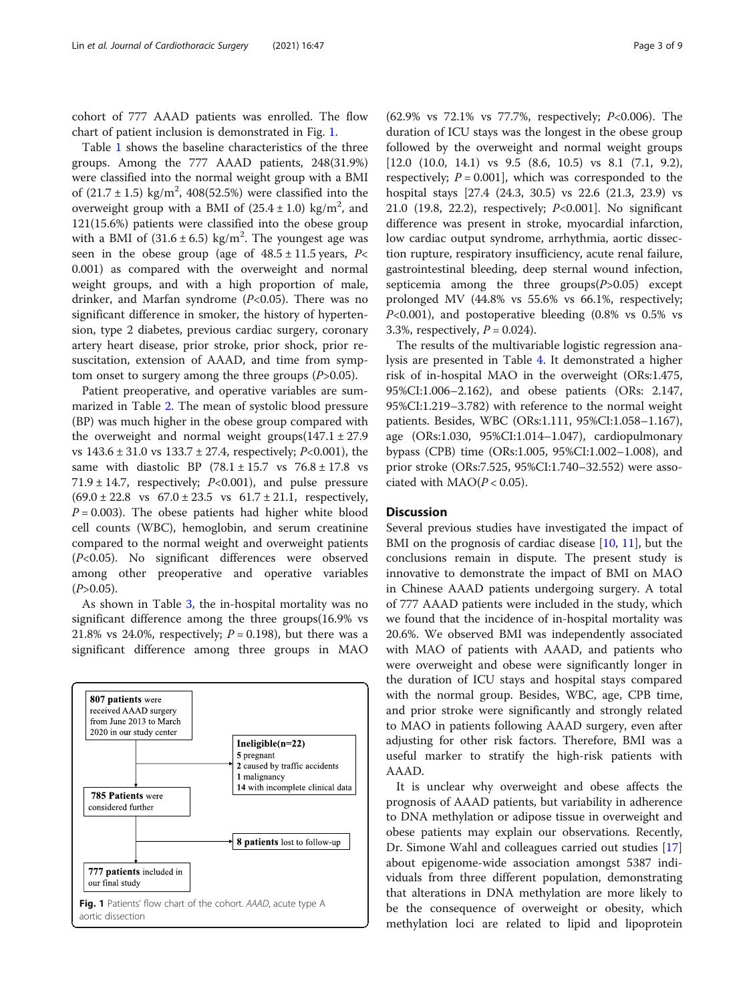cohort of 777 AAAD patients was enrolled. The flow chart of patient inclusion is demonstrated in Fig. 1.

Table [1](#page-3-0) shows the baseline characteristics of the three groups. Among the 777 AAAD patients, 248(31.9%) were classified into the normal weight group with a BMI of  $(21.7 \pm 1.5) \text{ kg/m}^2$ , 408(52.5%) were classified into the overweight group with a BMI of  $(25.4 \pm 1.0)$  kg/m<sup>2</sup>, and 121(15.6%) patients were classified into the obese group with a BMI of  $(31.6 \pm 6.5)$  kg/m<sup>2</sup>. The youngest age was seen in the obese group (age of  $48.5 \pm 11.5$  years, P< 0.001) as compared with the overweight and normal weight groups, and with a high proportion of male, drinker, and Marfan syndrome  $(P<0.05)$ . There was no significant difference in smoker, the history of hypertension, type 2 diabetes, previous cardiac surgery, coronary artery heart disease, prior stroke, prior shock, prior resuscitation, extension of AAAD, and time from symptom onset to surgery among the three groups  $(P>0.05)$ .

Patient preoperative, and operative variables are summarized in Table [2](#page-4-0). The mean of systolic blood pressure (BP) was much higher in the obese group compared with the overweight and normal weight groups $(147.1 \pm 27.9$ vs  $143.6 \pm 31.0$  vs  $133.7 \pm 27.4$ , respectively;  $P<0.001$ ), the same with diastolic BP  $(78.1 \pm 15.7 \text{ vs } 76.8 \pm 17.8 \text{ vs }$ 71.9  $\pm$  14.7, respectively; P<0.001), and pulse pressure  $(69.0 \pm 22.8 \text{ vs } 67.0 \pm 23.5 \text{ vs } 61.7 \pm 21.1, \text{ respectively},$  $P = 0.003$ ). The obese patients had higher white blood cell counts (WBC), hemoglobin, and serum creatinine compared to the normal weight and overweight patients (P<0.05). No significant differences were observed among other preoperative and operative variables  $(P>0.05)$ .

As shown in Table [3,](#page-5-0) the in-hospital mortality was no significant difference among the three groups(16.9% vs 21.8% vs 24.0%, respectively;  $P = 0.198$ ), but there was a significant difference among three groups in MAO



(62.9% vs 72.1% vs 77.7%, respectively; P<0.006). The duration of ICU stays was the longest in the obese group followed by the overweight and normal weight groups [12.0 (10.0, 14.1) vs 9.5 (8.6, 10.5) vs 8.1 (7.1, 9.2), respectively;  $P = 0.001$ , which was corresponded to the hospital stays [27.4 (24.3, 30.5) vs 22.6 (21.3, 23.9) vs 21.0 (19.8, 22.2), respectively; P<0.001]. No significant difference was present in stroke, myocardial infarction, low cardiac output syndrome, arrhythmia, aortic dissection rupture, respiratory insufficiency, acute renal failure, gastrointestinal bleeding, deep sternal wound infection, septicemia among the three  $groups(P>0.05)$  except prolonged MV (44.8% vs 55.6% vs 66.1%, respectively; P<0.001), and postoperative bleeding (0.8% vs 0.5% vs 3.3%, respectively,  $P = 0.024$ ).

The results of the multivariable logistic regression analysis are presented in Table [4.](#page-5-0) It demonstrated a higher risk of in-hospital MAO in the overweight (ORs:1.475, 95%CI:1.006–2.162), and obese patients (ORs: 2.147, 95%CI:1.219–3.782) with reference to the normal weight patients. Besides, WBC (ORs:1.111, 95%CI:1.058–1.167), age (ORs:1.030, 95%CI:1.014–1.047), cardiopulmonary bypass (CPB) time (ORs:1.005, 95%CI:1.002–1.008), and prior stroke (ORs:7.525, 95%CI:1.740–32.552) were associated with  $MAO(P < 0.05)$ .

#### **Discussion**

Several previous studies have investigated the impact of BMI on the prognosis of cardiac disease [[10,](#page-7-0) [11\]](#page-7-0), but the conclusions remain in dispute. The present study is innovative to demonstrate the impact of BMI on MAO in Chinese AAAD patients undergoing surgery. A total of 777 AAAD patients were included in the study, which we found that the incidence of in-hospital mortality was 20.6%. We observed BMI was independently associated with MAO of patients with AAAD, and patients who were overweight and obese were significantly longer in the duration of ICU stays and hospital stays compared with the normal group. Besides, WBC, age, CPB time, and prior stroke were significantly and strongly related to MAO in patients following AAAD surgery, even after adjusting for other risk factors. Therefore, BMI was a useful marker to stratify the high-risk patients with AAAD.

It is unclear why overweight and obese affects the prognosis of AAAD patients, but variability in adherence to DNA methylation or adipose tissue in overweight and obese patients may explain our observations. Recently, Dr. Simone Wahl and colleagues carried out studies [[17](#page-7-0)] about epigenome-wide association amongst 5387 individuals from three different population, demonstrating that alterations in DNA methylation are more likely to be the consequence of overweight or obesity, which methylation loci are related to lipid and lipoprotein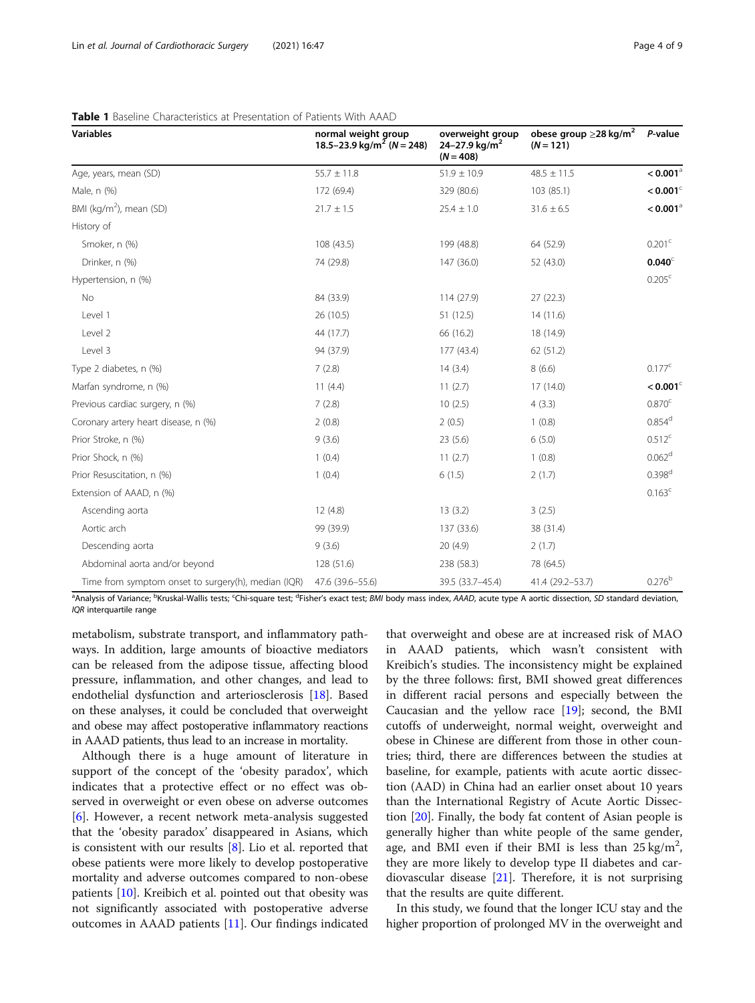| <b>Variables</b>                                    | normal weight group<br>18.5–23.9 kg/m <sup>2</sup> (N = 248) | overweight group<br>24-27.9 kg/m <sup>2</sup><br>$(N = 408)$ | obese group $\geq$ 28 kg/m <sup>2</sup><br>$(N = 121)$ | P-value                |
|-----------------------------------------------------|--------------------------------------------------------------|--------------------------------------------------------------|--------------------------------------------------------|------------------------|
| Age, years, mean (SD)                               | $55.7 \pm 11.8$                                              | $51.9 \pm 10.9$                                              | $48.5 \pm 11.5$                                        | $< 0.001$ <sup>a</sup> |
| Male, n (%)                                         | 172 (69.4)                                                   | 329 (80.6)                                                   | 103 (85.1)                                             | $< 0.001$ <sup>c</sup> |
| BMI ( $\text{kg/m}^2$ ), mean (SD)                  | $21.7 \pm 1.5$                                               | $25.4 \pm 1.0$                                               | $31.6 \pm 6.5$                                         | $< 0.001$ <sup>a</sup> |
| History of                                          |                                                              |                                                              |                                                        |                        |
| Smoker, n (%)                                       | 108 (43.5)                                                   | 199 (48.8)                                                   | 64 (52.9)                                              | 0.201 <sup>c</sup>     |
| Drinker, n (%)                                      | 74 (29.8)                                                    | 147 (36.0)                                                   | 52 (43.0)                                              | 0.040                  |
| Hypertension, n (%)                                 |                                                              |                                                              |                                                        | 0.205 <sup>c</sup>     |
| No                                                  | 84 (33.9)                                                    | 114 (27.9)                                                   | 27(22.3)                                               |                        |
| Level 1                                             | 26 (10.5)                                                    | 51 (12.5)                                                    | 14(11.6)                                               |                        |
| Level 2                                             | 44 (17.7)                                                    | 66 (16.2)                                                    | 18 (14.9)                                              |                        |
| Level 3                                             | 94 (37.9)                                                    | 177 (43.4)                                                   | 62 (51.2)                                              |                        |
| Type 2 diabetes, n (%)                              | 7(2.8)                                                       | 14(3.4)                                                      | 8(6.6)                                                 | 0.177c                 |
| Marfan syndrome, n (%)                              | 11(4.4)                                                      | 11(2.7)                                                      | 17 (14.0)                                              | $< 0.001$ <sup>c</sup> |
| Previous cardiac surgery, n (%)                     | 7(2.8)                                                       | 10(2.5)                                                      | 4(3.3)                                                 | 0.870 <sup>c</sup>     |
| Coronary artery heart disease, n (%)                | 2(0.8)                                                       | 2(0.5)                                                       | 1(0.8)                                                 | $0.854^d$              |
| Prior Stroke, n (%)                                 | 9(3.6)                                                       | 23(5.6)                                                      | 6(5.0)                                                 | $0.512^{c}$            |
| Prior Shock, n (%)                                  | 1(0.4)                                                       | 11(2.7)                                                      | 1(0.8)                                                 | 0.062 <sup>d</sup>     |
| Prior Resuscitation, n (%)                          | 1(0.4)                                                       | 6(1.5)                                                       | 2(1.7)                                                 | 0.398 <sup>d</sup>     |
| Extension of AAAD, n (%)                            |                                                              |                                                              |                                                        | $0.163^c$              |
| Ascending aorta                                     | 12 (4.8)                                                     | 13(3.2)                                                      | 3(2.5)                                                 |                        |
| Aortic arch                                         | 99 (39.9)                                                    | 137 (33.6)                                                   | 38 (31.4)                                              |                        |
| Descending aorta                                    | 9(3.6)                                                       | 20(4.9)                                                      | 2(1.7)                                                 |                        |
| Abdominal aorta and/or beyond                       | 128 (51.6)                                                   | 238 (58.3)                                                   | 78 (64.5)                                              |                        |
| Time from symptom onset to surgery(h), median (IQR) | 47.6 (39.6-55.6)                                             | 39.5 (33.7-45.4)                                             | 41.4 (29.2-53.7)                                       | 0.276 <sup>b</sup>     |

<span id="page-3-0"></span>

|  |  |  | <b>Table 1</b> Baseline Characteristics at Presentation of Patients With AAAD |  |  |
|--|--|--|-------------------------------------------------------------------------------|--|--|
|--|--|--|-------------------------------------------------------------------------------|--|--|

<sup>a</sup>Analysis of Variance; <sup>b</sup>Kruskal-Wallis tests; <sup>c</sup>Chi-square test; <sup>d</sup>Fisher's exact test; *BMI* body mass index, *AAAD*, acute type A aortic dissection, SD standard deviation, IQR interquartile range

metabolism, substrate transport, and inflammatory pathways. In addition, large amounts of bioactive mediators can be released from the adipose tissue, affecting blood pressure, inflammation, and other changes, and lead to endothelial dysfunction and arteriosclerosis [\[18\]](#page-7-0). Based on these analyses, it could be concluded that overweight and obese may affect postoperative inflammatory reactions in AAAD patients, thus lead to an increase in mortality.

Although there is a huge amount of literature in support of the concept of the 'obesity paradox', which indicates that a protective effect or no effect was observed in overweight or even obese on adverse outcomes [[6\]](#page-6-0). However, a recent network meta-analysis suggested that the 'obesity paradox' disappeared in Asians, which is consistent with our results [[8\]](#page-7-0). Lio et al. reported that obese patients were more likely to develop postoperative mortality and adverse outcomes compared to non-obese patients [\[10\]](#page-7-0). Kreibich et al. pointed out that obesity was not significantly associated with postoperative adverse outcomes in AAAD patients [[11\]](#page-7-0). Our findings indicated

that overweight and obese are at increased risk of MAO in AAAD patients, which wasn't consistent with Kreibich's studies. The inconsistency might be explained by the three follows: first, BMI showed great differences in different racial persons and especially between the Caucasian and the yellow race [\[19\]](#page-7-0); second, the BMI cutoffs of underweight, normal weight, overweight and obese in Chinese are different from those in other countries; third, there are differences between the studies at baseline, for example, patients with acute aortic dissection (AAD) in China had an earlier onset about 10 years than the International Registry of Acute Aortic Dissection [\[20](#page-7-0)]. Finally, the body fat content of Asian people is generally higher than white people of the same gender, age, and BMI even if their BMI is less than  $25 \text{ kg/m}^2$ , they are more likely to develop type II diabetes and cardiovascular disease  $[21]$  $[21]$  $[21]$ . Therefore, it is not surprising that the results are quite different.

In this study, we found that the longer ICU stay and the higher proportion of prolonged MV in the overweight and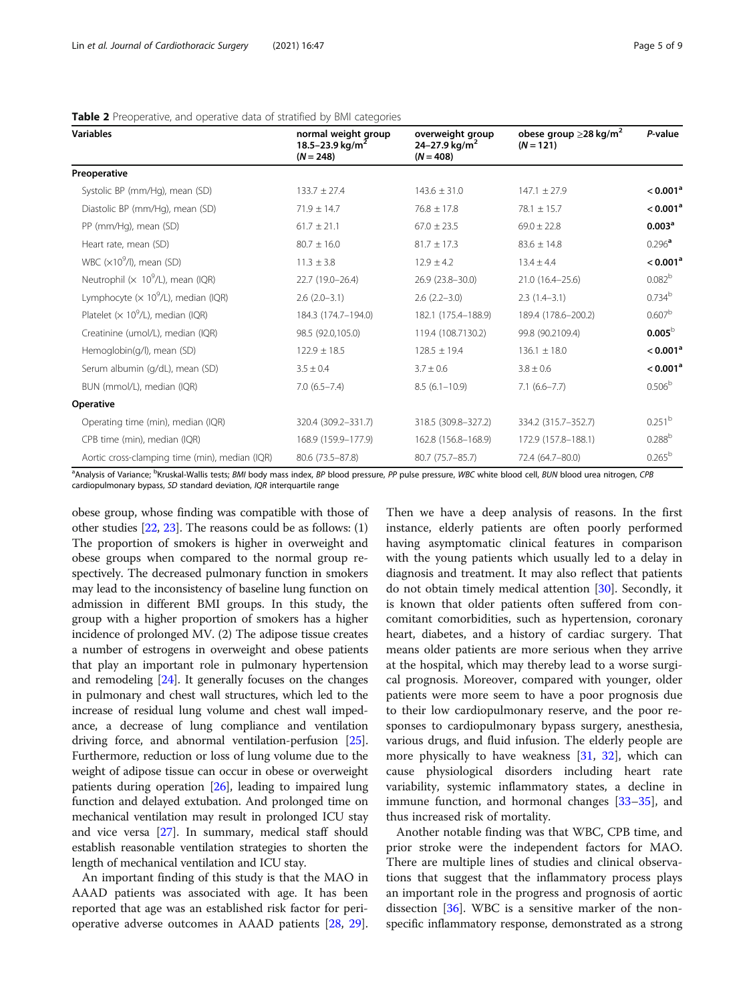| <b>Variables</b>                                        | normal weight group<br>18.5-23.9 kg/m <sup>2</sup><br>$(N = 248)$ | overweight group<br>24–27.9 kg/m <sup>2</sup><br>$(N = 408)$ | obese group $\geq$ 28 kg/m <sup>2</sup><br>$(N = 121)$ | P-value              |
|---------------------------------------------------------|-------------------------------------------------------------------|--------------------------------------------------------------|--------------------------------------------------------|----------------------|
| Preoperative                                            |                                                                   |                                                              |                                                        |                      |
| Systolic BP (mm/Hg), mean (SD)                          | $133.7 \pm 27.4$                                                  | $143.6 \pm 31.0$                                             | $147.1 \pm 27.9$                                       | < 0.001 <sup>a</sup> |
| Diastolic BP (mm/Hg), mean (SD)                         | $71.9 \pm 14.7$                                                   | $76.8 \pm 17.8$                                              | $78.1 \pm 15.7$                                        | < 0.001 <sup>a</sup> |
| PP (mm/Hg), mean (SD)                                   | $61.7 \pm 21.1$                                                   | $67.0 \pm 23.5$                                              | $69.0 \pm 22.8$                                        | 0.003 <sup>a</sup>   |
| Heart rate, mean (SD)                                   | $80.7 \pm 16.0$                                                   | $81.7 \pm 17.3$                                              | $83.6 \pm 14.8$                                        | $0.296^{\text{a}}$   |
| WBC $(x10^9/l)$ , mean (SD)                             | $11.3 \pm 3.8$                                                    | $12.9 \pm 4.2$                                               | $13.4 \pm 4.4$                                         | < 0.001 <sup>a</sup> |
| Neutrophil ( $\times$ 10 <sup>9</sup> /L), mean (IQR)   | 22.7 (19.0-26.4)                                                  | 26.9 (23.8-30.0)                                             | 21.0 (16.4-25.6)                                       | 0.082 <sup>b</sup>   |
| Lymphocyte ( $\times$ 10 <sup>9</sup> /L), median (IQR) | $2.6(2.0-3.1)$                                                    | $2.6$ $(2.2 - 3.0)$                                          | $2.3(1.4-3.1)$                                         | 0.734 <sup>b</sup>   |
| Platelet ( $\times$ 10 <sup>9</sup> /L), median (IQR)   | 184.3 (174.7-194.0)                                               | 182.1 (175.4-188.9)                                          | 189.4 (178.6-200.2)                                    | 0.607 <sup>b</sup>   |
| Creatinine (umol/L), median (IQR)                       | 98.5 (92.0,105.0)                                                 | 119.4 (108.7130.2)                                           | 99.8 (90.2109.4)                                       | 0.005 <sup>b</sup>   |
| Hemoglobin(g/l), mean (SD)                              | $122.9 \pm 18.5$                                                  | $128.5 \pm 19.4$                                             | $136.1 \pm 18.0$                                       | < 0.001 <sup>a</sup> |
| Serum albumin (g/dL), mean (SD)                         | $3.5 \pm 0.4$                                                     | $3.7 \pm 0.6$                                                | $3.8 \pm 0.6$                                          | < 0.001 <sup>a</sup> |
| BUN (mmol/L), median (IQR)                              | $7.0(6.5 - 7.4)$                                                  | $8.5(6.1-10.9)$                                              | $7.1(6.6 - 7.7)$                                       | $0.506^{\rm b}$      |
| <b>Operative</b>                                        |                                                                   |                                                              |                                                        |                      |
| Operating time (min), median (IQR)                      | 320.4 (309.2-331.7)                                               | 318.5 (309.8-327.2)                                          | 334.2 (315.7-352.7)                                    | 0.251 <sup>b</sup>   |
| CPB time (min), median (IQR)                            | 168.9 (159.9-177.9)                                               | 162.8 (156.8-168.9)                                          | 172.9 (157.8-188.1)                                    | $0.288^{b}$          |
| Aortic cross-clamping time (min), median (IQR)          | 80.6 (73.5-87.8)                                                  | 80.7 (75.7-85.7)                                             | 72.4 (64.7-80.0)                                       | 0.265 <sup>b</sup>   |

<span id="page-4-0"></span>

| Table 2 Preoperative, and operative data of stratified by BMI categories |  |  |  |
|--------------------------------------------------------------------------|--|--|--|
|--------------------------------------------------------------------------|--|--|--|

<sup>a</sup>Analysis of Variance; <sup>b</sup>Kruskal-Wallis tests; BMI body mass index, BP blood pressure, PP pulse pressure, WBC white blood cell, BUN blood urea nitrogen, CPB cardiopulmonary bypass, SD standard deviation, IQR interquartile range

obese group, whose finding was compatible with those of other studies [\[22,](#page-7-0) [23\]](#page-7-0). The reasons could be as follows: (1) The proportion of smokers is higher in overweight and obese groups when compared to the normal group respectively. The decreased pulmonary function in smokers may lead to the inconsistency of baseline lung function on admission in different BMI groups. In this study, the group with a higher proportion of smokers has a higher incidence of prolonged MV. (2) The adipose tissue creates a number of estrogens in overweight and obese patients that play an important role in pulmonary hypertension and remodeling [\[24](#page-7-0)]. It generally focuses on the changes in pulmonary and chest wall structures, which led to the increase of residual lung volume and chest wall impedance, a decrease of lung compliance and ventilation driving force, and abnormal ventilation-perfusion [[25](#page-7-0)]. Furthermore, reduction or loss of lung volume due to the weight of adipose tissue can occur in obese or overweight patients during operation [[26](#page-7-0)], leading to impaired lung function and delayed extubation. And prolonged time on mechanical ventilation may result in prolonged ICU stay and vice versa [\[27](#page-7-0)]. In summary, medical staff should establish reasonable ventilation strategies to shorten the length of mechanical ventilation and ICU stay.

An important finding of this study is that the MAO in AAAD patients was associated with age. It has been reported that age was an established risk factor for perioperative adverse outcomes in AAAD patients [\[28](#page-7-0), [29](#page-7-0)].

Then we have a deep analysis of reasons. In the first instance, elderly patients are often poorly performed having asymptomatic clinical features in comparison with the young patients which usually led to a delay in diagnosis and treatment. It may also reflect that patients do not obtain timely medical attention [\[30](#page-7-0)]. Secondly, it is known that older patients often suffered from concomitant comorbidities, such as hypertension, coronary heart, diabetes, and a history of cardiac surgery. That means older patients are more serious when they arrive at the hospital, which may thereby lead to a worse surgical prognosis. Moreover, compared with younger, older patients were more seem to have a poor prognosis due to their low cardiopulmonary reserve, and the poor responses to cardiopulmonary bypass surgery, anesthesia, various drugs, and fluid infusion. The elderly people are more physically to have weakness [\[31,](#page-7-0) [32\]](#page-7-0), which can cause physiological disorders including heart rate variability, systemic inflammatory states, a decline in immune function, and hormonal changes [\[33](#page-7-0)–[35\]](#page-7-0), and thus increased risk of mortality.

Another notable finding was that WBC, CPB time, and prior stroke were the independent factors for MAO. There are multiple lines of studies and clinical observations that suggest that the inflammatory process plays an important role in the progress and prognosis of aortic dissection  $[36]$  $[36]$  $[36]$ . WBC is a sensitive marker of the nonspecific inflammatory response, demonstrated as a strong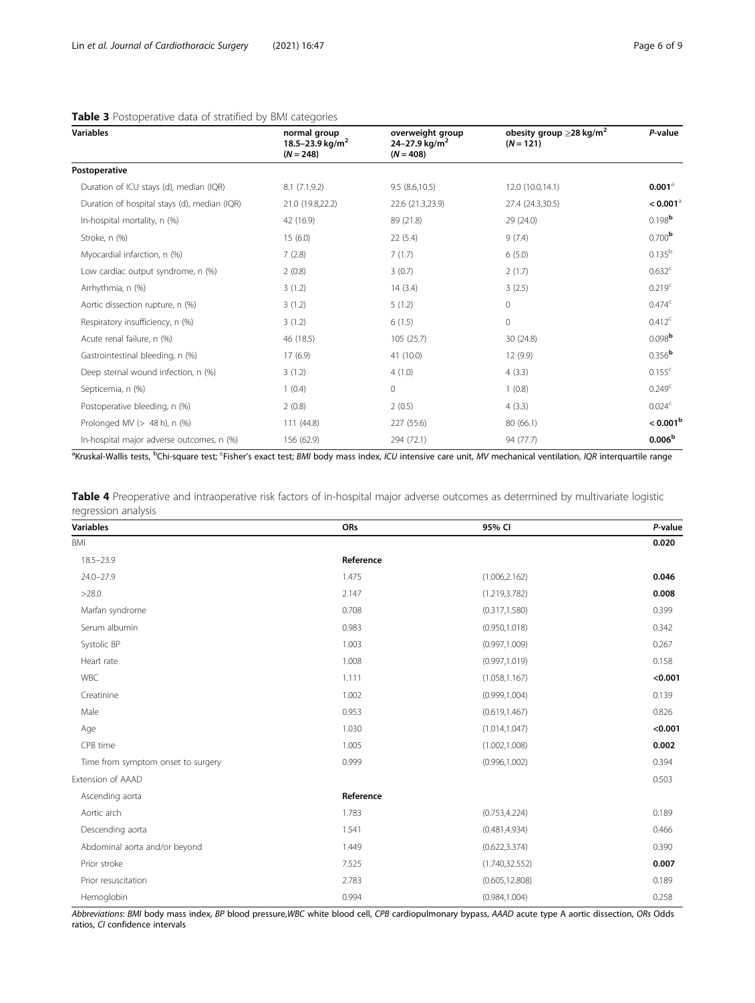#### <span id="page-5-0"></span>Table 3 Postoperative data of stratified by BMI categories

| <b>Variables</b>                             | normal group<br>18.5-23.9 kg/m <sup>2</sup><br>$(N = 248)$ | overweight group<br>24–27.9 kg/m <sup>2</sup><br>$(N = 408)$ | obesity group $\geq$ 28 kg/m <sup>2</sup><br>$(N = 121)$ | P-value                |
|----------------------------------------------|------------------------------------------------------------|--------------------------------------------------------------|----------------------------------------------------------|------------------------|
| Postoperative                                |                                                            |                                                              |                                                          |                        |
| Duration of ICU stays (d), median (IQR)      | 8.1(7.1,9.2)                                               | 9.5(8.6, 10.5)                                               | 12.0 (10.0,14.1)                                         | $0.001^{\circ}$        |
| Duration of hospital stays (d), median (IQR) | 21.0 (19.8,22.2)                                           | 22.6 (21.3,23.9)                                             | 27.4 (24.3,30.5)                                         | $< 0.001$ <sup>a</sup> |
| In-hospital mortality, n (%)                 | 42 (16.9)                                                  | 89 (21.8)                                                    | 29 (24.0)                                                | $0.198$ <sup>b</sup>   |
| Stroke, n (%)                                | 15(6.0)                                                    | 22(5.4)                                                      | 9(7.4)                                                   | 0.700 <sup>b</sup>     |
| Myocardial infarction, n (%)                 | 7(2.8)                                                     | 7(1.7)                                                       | 6(5.0)                                                   | $0.135^{b}$            |
| Low cardiac output syndrome, n (%)           | 2(0.8)                                                     | 3(0.7)                                                       | 2(1.7)                                                   | 0.632 <sup>c</sup>     |
| Arrhythmia, n (%)                            | 3(1.2)                                                     | 14(3.4)                                                      | 3(2.5)                                                   | 0.219 <sup>c</sup>     |
| Aortic dissection rupture, n (%)             | 3(1.2)                                                     | 5(1.2)                                                       | $\circ$                                                  | $0.474^c$              |
| Respiratory insufficiency, n (%)             | 3(1.2)                                                     | 6(1.5)                                                       | $\circ$                                                  | 0.412c                 |
| Acute renal failure, n (%)                   | 46 (18.5)                                                  | 105 (25.7)                                                   | 30 (24.8)                                                | 0.098 <sup>b</sup>     |
| Gastrointestinal bleeding, n (%)             | 17(6.9)                                                    | 41 (10.0)                                                    | 12 (9.9)                                                 | 0.356 <sup>b</sup>     |
| Deep sternal wound infection, n (%)          | 3(1.2)                                                     | 4(1.0)                                                       | 4(3.3)                                                   | $0.155^{c}$            |
| Septicemia, n (%)                            | 1(0.4)                                                     | $\mathbf{0}$                                                 | 1(0.8)                                                   | 0.249 <sup>c</sup>     |
| Postoperative bleeding, n (%)                | 2(0.8)                                                     | 2(0.5)                                                       | 4(3.3)                                                   | 0.024 <sup>c</sup>     |
| Prolonged MV $(> 48 h)$ , n $(%)$            | 111 (44.8)                                                 | 227 (55.6)                                                   | 80 (66.1)                                                | < 0.001 <sup>b</sup>   |
| In-hospital major adverse outcomes, n (%)    | 156 (62.9)                                                 | 294 (72.1)                                                   | 94 (77.7)                                                | 0.006 <sup>b</sup>     |

<sup>a</sup>Kruskal-Wallis tests, <sup>b</sup>Chi-square test; <sup>c</sup>Fisher's exact test; *BMI* body mass index, ICU intensive care unit, MV mechanical ventilation, IQR interquartile range

| Table 4 Preoperative and intraoperative risk factors of in-hospital major adverse outcomes as determined by multivariate logistic |  |  |  |  |  |
|-----------------------------------------------------------------------------------------------------------------------------------|--|--|--|--|--|
| regression analysis                                                                                                               |  |  |  |  |  |

| <b>Variables</b>                   | ORs       | 95% CI          | P-value |
|------------------------------------|-----------|-----------------|---------|
| <b>BMI</b>                         |           |                 | 0.020   |
| $18.5 - 23.9$                      | Reference |                 |         |
| $24.0 - 27.9$                      | 1.475     | (1.006, 2.162)  | 0.046   |
| >28.0                              | 2.147     | (1.219, 3.782)  | 0.008   |
| Marfan syndrome                    | 0.708     | (0.317, 1.580)  | 0.399   |
| Serum albumin                      | 0.983     | (0.950, 1.018)  | 0.342   |
| Systolic BP                        | 1.003     | (0.997, 1.009)  | 0.267   |
| Heart rate                         | 1.008     | (0.997, 1.019)  | 0.158   |
| <b>WBC</b>                         | 1.111     | (1.058, 1.167)  | < 0.001 |
| Creatinine                         | 1.002     | (0.999, 1.004)  | 0.139   |
| Male                               | 0.953     | (0.619, 1.467)  | 0.826   |
| Age                                | 1.030     | (1.014, 1.047)  | < 0.001 |
| CPB time                           | 1.005     | (1.002, 1.008)  | 0.002   |
| Time from symptom onset to surgery | 0.999     | (0.996, 1.002)  | 0.394   |
| Extension of AAAD                  |           |                 | 0.503   |
| Ascending aorta                    | Reference |                 |         |
| Aortic arch                        | 1.783     | (0.753, 4.224)  | 0.189   |
| Descending aorta                   | 1.541     | (0.481, 4.934)  | 0.466   |
| Abdominal aorta and/or beyond      | 1.449     | (0.622, 3.374)  | 0.390   |
| Prior stroke                       | 7.525     | (1.740, 32.552) | 0.007   |
| Prior resuscitation                | 2.783     | (0.605, 12.808) | 0.189   |
| Hemoglobin                         | 0.994     | (0.984, 1.004)  | 0.258   |

Abbreviations: BMI body mass index, BP blood pressure,WBC white blood cell, CPB cardiopulmonary bypass, AAAD acute type A aortic dissection, ORs Odds ratios, CI confidence intervals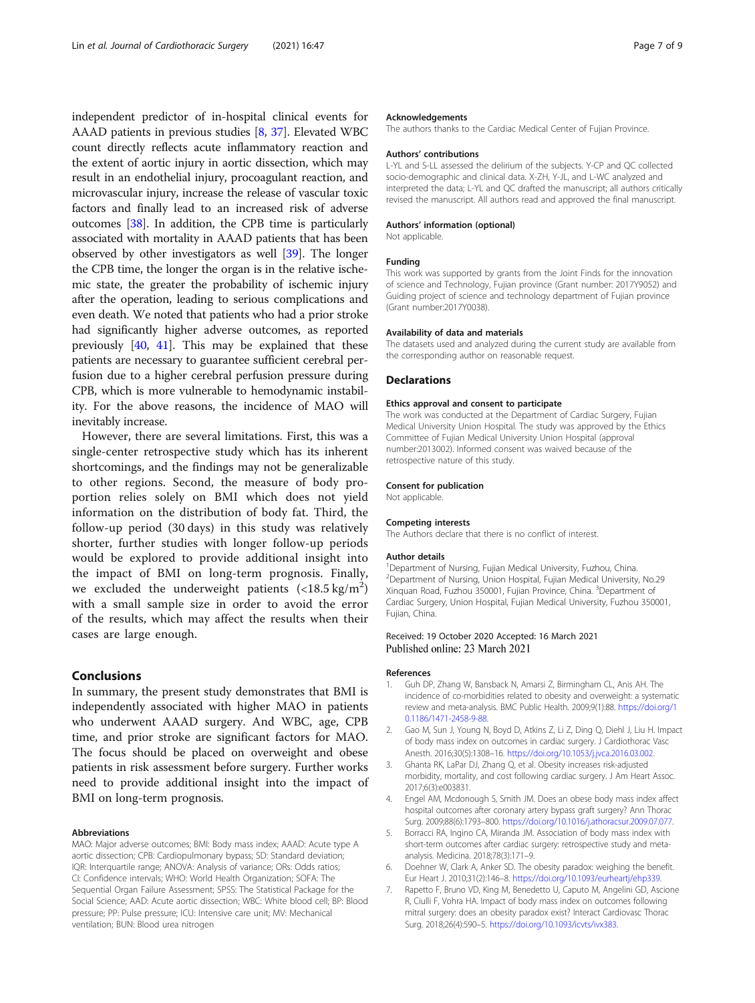<span id="page-6-0"></span>independent predictor of in-hospital clinical events for AAAD patients in previous studies [[8,](#page-7-0) [37](#page-7-0)]. Elevated WBC count directly reflects acute inflammatory reaction and the extent of aortic injury in aortic dissection, which may result in an endothelial injury, procoagulant reaction, and microvascular injury, increase the release of vascular toxic factors and finally lead to an increased risk of adverse outcomes [[38](#page-7-0)]. In addition, the CPB time is particularly associated with mortality in AAAD patients that has been observed by other investigators as well [[39](#page-7-0)]. The longer the CPB time, the longer the organ is in the relative ischemic state, the greater the probability of ischemic injury after the operation, leading to serious complications and even death. We noted that patients who had a prior stroke had significantly higher adverse outcomes, as reported previously [\[40,](#page-8-0) [41](#page-8-0)]. This may be explained that these patients are necessary to guarantee sufficient cerebral perfusion due to a higher cerebral perfusion pressure during CPB, which is more vulnerable to hemodynamic instability. For the above reasons, the incidence of MAO will inevitably increase.

However, there are several limitations. First, this was a single-center retrospective study which has its inherent shortcomings, and the findings may not be generalizable to other regions. Second, the measure of body proportion relies solely on BMI which does not yield information on the distribution of body fat. Third, the follow-up period (30 days) in this study was relatively shorter, further studies with longer follow-up periods would be explored to provide additional insight into the impact of BMI on long-term prognosis. Finally, we excluded the underweight patients  $\left($  <18.5 kg/m<sup>2</sup>) with a small sample size in order to avoid the error of the results, which may affect the results when their cases are large enough.

#### Conclusions

In summary, the present study demonstrates that BMI is independently associated with higher MAO in patients who underwent AAAD surgery. And WBC, age, CPB time, and prior stroke are significant factors for MAO. The focus should be placed on overweight and obese patients in risk assessment before surgery. Further works need to provide additional insight into the impact of BMI on long-term prognosis.

#### Abbreviations

MAO: Major adverse outcomes; BMI: Body mass index; AAAD: Acute type A aortic dissection; CPB: Cardiopulmonary bypass; SD: Standard deviation; IQR: Interquartile range; ANOVA: Analysis of variance; ORs: Odds ratios; CI: Confidence intervals; WHO: World Health Organization; SOFA: The Sequential Organ Failure Assessment; SPSS: The Statistical Package for the Social Science; AAD: Acute aortic dissection; WBC: White blood cell; BP: Blood pressure; PP: Pulse pressure; ICU: Intensive care unit; MV: Mechanical ventilation; BUN: Blood urea nitrogen

#### Acknowledgements

The authors thanks to the Cardiac Medical Center of Fujian Province.

#### Authors' contributions

L-YL and S-LL assessed the delirium of the subjects. Y-CP and QC collected socio-demographic and clinical data. X-ZH, Y-JL, and L-WC analyzed and interpreted the data; L-YL and QC drafted the manuscript; all authors critically revised the manuscript. All authors read and approved the final manuscript.

#### Authors' information (optional)

Not applicable.

#### Funding

This work was supported by grants from the Joint Finds for the innovation of science and Technology, Fujian province (Grant number: 2017Y9052) and Guiding project of science and technology department of Fujian province (Grant number:2017Y0038).

#### Availability of data and materials

The datasets used and analyzed during the current study are available from the corresponding author on reasonable request.

#### Declarations

#### Ethics approval and consent to participate

The work was conducted at the Department of Cardiac Surgery, Fujian Medical University Union Hospital. The study was approved by the Ethics Committee of Fujian Medical University Union Hospital (approval number:2013002). Informed consent was waived because of the retrospective nature of this study.

#### Consent for publication

Not applicable.

#### Competing interests

The Authors declare that there is no conflict of interest.

#### Author details

<sup>1</sup> Department of Nursing, Fujian Medical University, Fuzhou, China 2 Department of Nursing, Union Hospital, Fujian Medical University, No.29 Xinquan Road, Fuzhou 350001, Fujian Province, China. <sup>3</sup> Department of Cardiac Surgery, Union Hospital, Fujian Medical University, Fuzhou 350001, Fujian, China.

## Received: 19 October 2020 Accepted: 16 March 2021

#### References

- 1. Guh DP, Zhang W, Bansback N, Amarsi Z, Birmingham CL, Anis AH. The incidence of co-morbidities related to obesity and overweight: a systematic review and meta-analysis. BMC Public Health. 2009;9(1):88. [https://doi.org/1](https://doi.org/10.1186/1471-2458-9-88) [0.1186/1471-2458-9-88](https://doi.org/10.1186/1471-2458-9-88).
- 2. Gao M, Sun J, Young N, Boyd D, Atkins Z, Li Z, Ding Q, Diehl J, Liu H. Impact of body mass index on outcomes in cardiac surgery. J Cardiothorac Vasc Anesth. 2016;30(5):1308–16. <https://doi.org/10.1053/j.jvca.2016.03.002>.
- 3. Ghanta RK, LaPar DJ, Zhang Q, et al. Obesity increases risk-adjusted morbidity, mortality, and cost following cardiac surgery. J Am Heart Assoc. 2017;6(3):e003831.
- 4. Engel AM, Mcdonough S, Smith JM. Does an obese body mass index affect hospital outcomes after coronary artery bypass graft surgery? Ann Thorac Surg. 2009;88(6):1793–800. [https://doi.org/10.1016/j.athoracsur.2009.07.077.](https://doi.org/10.1016/j.athoracsur.2009.07.077)
- 5. Borracci RA, Ingino CA, Miranda JM. Association of body mass index with short-term outcomes after cardiac surgery: retrospective study and metaanalysis. Medicina. 2018;78(3):171–9.
- 6. Doehner W, Clark A, Anker SD. The obesity paradox: weighing the benefit. Eur Heart J. 2010;31(2):146–8. [https://doi.org/10.1093/eurheartj/ehp339.](https://doi.org/10.1093/eurheartj/ehp339)
- 7. Rapetto F, Bruno VD, King M, Benedetto U, Caputo M, Angelini GD, Ascione R, Ciulli F, Vohra HA. Impact of body mass index on outcomes following mitral surgery: does an obesity paradox exist? Interact Cardiovasc Thorac Surg. 2018;26(4):590–5. [https://doi.org/10.1093/icvts/ivx383.](https://doi.org/10.1093/icvts/ivx383)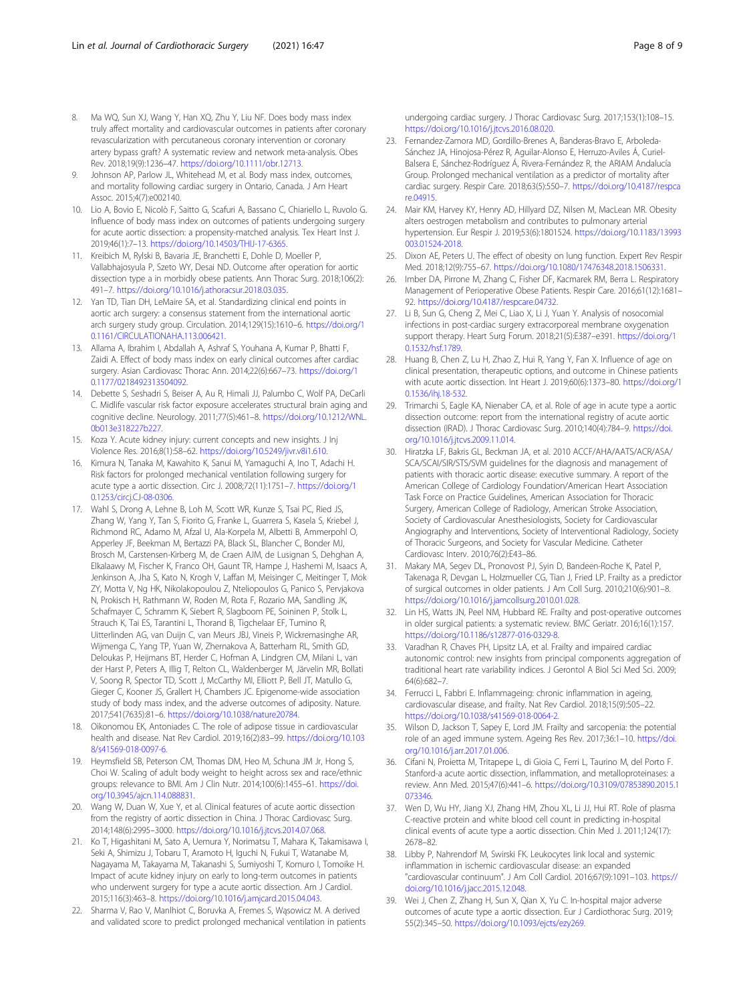- <span id="page-7-0"></span>8. Ma WQ, Sun XJ, Wang Y, Han XQ, Zhu Y, Liu NF. Does body mass index truly affect mortality and cardiovascular outcomes in patients after coronary revascularization with percutaneous coronary intervention or coronary artery bypass graft? A systematic review and network meta-analysis. Obes Rev. 2018;19(9):1236–47. [https://doi.org/10.1111/obr.12713.](https://doi.org/10.1111/obr.12713)
- 9. Johnson AP, Parlow JL, Whitehead M, et al. Body mass index, outcomes, and mortality following cardiac surgery in Ontario, Canada. J Am Heart Assoc. 2015;4(7):e002140.
- 10. Lio A, Bovio E, Nicolò F, Saitto G, Scafuri A, Bassano C, Chiariello L, Ruvolo G. Influence of body mass index on outcomes of patients undergoing surgery for acute aortic dissection: a propensity-matched analysis. Tex Heart Inst J. 2019;46(1):7–13. [https://doi.org/10.14503/THIJ-17-6365.](https://doi.org/10.14503/THIJ-17-6365)
- 11. Kreibich M, Rylski B, Bavaria JE, Branchetti E, Dohle D, Moeller P, Vallabhajosyula P, Szeto WY, Desai ND. Outcome after operation for aortic dissection type a in morbidly obese patients. Ann Thorac Surg. 2018;106(2): 491–7. <https://doi.org/10.1016/j.athoracsur.2018.03.035>.
- 12. Yan TD, Tian DH, LeMaire SA, et al. Standardizing clinical end points in aortic arch surgery: a consensus statement from the international aortic arch surgery study group. Circulation. 2014;129(15):1610–6. [https://doi.org/1](https://doi.org/10.1161/CIRCULATIONAHA.113.006421) [0.1161/CIRCULATIONAHA.113.006421](https://doi.org/10.1161/CIRCULATIONAHA.113.006421).
- 13. Allama A, Ibrahim I, Abdallah A, Ashraf S, Youhana A, Kumar P, Bhatti F, Zaidi A. Effect of body mass index on early clinical outcomes after cardiac surgery. Asian Cardiovasc Thorac Ann. 2014;22(6):667–73. [https://doi.org/1](https://doi.org/10.1177/0218492313504092) [0.1177/0218492313504092](https://doi.org/10.1177/0218492313504092).
- 14. Debette S, Seshadri S, Beiser A, Au R, Himali JJ, Palumbo C, Wolf PA, DeCarli C. Midlife vascular risk factor exposure accelerates structural brain aging and cognitive decline. Neurology. 2011;77(5):461–8. [https://doi.org/10.1212/WNL.](https://doi.org/10.1212/WNL.0b013e318227b227) [0b013e318227b227](https://doi.org/10.1212/WNL.0b013e318227b227).
- 15. Koza Y. Acute kidney injury: current concepts and new insights. J Inj Violence Res. 2016;8(1):58–62. <https://doi.org/10.5249/jivr.v8i1.610>.
- 16. Kimura N, Tanaka M, Kawahito K, Sanui M, Yamaguchi A, Ino T, Adachi H. Risk factors for prolonged mechanical ventilation following surgery for acute type a aortic dissection. Circ J. 2008;72(11):1751–7. [https://doi.org/1](https://doi.org/10.1253/circj.CJ-08-0306) [0.1253/circj.CJ-08-0306.](https://doi.org/10.1253/circj.CJ-08-0306)
- 17. Wahl S, Drong A, Lehne B, Loh M, Scott WR, Kunze S, Tsai PC, Ried JS, Zhang W, Yang Y, Tan S, Fiorito G, Franke L, Guarrera S, Kasela S, Kriebel J, Richmond RC, Adamo M, Afzal U, Ala-Korpela M, Albetti B, Ammerpohl O, Apperley JF, Beekman M, Bertazzi PA, Black SL, Blancher C, Bonder MJ, Brosch M, Carstensen-Kirberg M, de Craen AJM, de Lusignan S, Dehghan A, Elkalaawy M, Fischer K, Franco OH, Gaunt TR, Hampe J, Hashemi M, Isaacs A, Jenkinson A, Jha S, Kato N, Krogh V, Laffan M, Meisinger C, Meitinger T, Mok ZY, Motta V, Ng HK, Nikolakopoulou Z, Nteliopoulos G, Panico S, Pervjakova N, Prokisch H, Rathmann W, Roden M, Rota F, Rozario MA, Sandling JK, Schafmayer C, Schramm K, Siebert R, Slagboom PE, Soininen P, Stolk L, Strauch K, Tai ES, Tarantini L, Thorand B, Tigchelaar EF, Tumino R, Uitterlinden AG, van Duijn C, van Meurs JBJ, Vineis P, Wickremasinghe AR, Wijmenga C, Yang TP, Yuan W, Zhernakova A, Batterham RL, Smith GD, Deloukas P, Heijmans BT, Herder C, Hofman A, Lindgren CM, Milani L, van der Harst P, Peters A, Illig T, Relton CL, Waldenberger M, Järvelin MR, Bollati V, Soong R, Spector TD, Scott J, McCarthy MI, Elliott P, Bell JT, Matullo G, Gieger C, Kooner JS, Grallert H, Chambers JC. Epigenome-wide association study of body mass index, and the adverse outcomes of adiposity. Nature. 2017;541(7635):81–6. <https://doi.org/10.1038/nature20784>.
- 18. Oikonomou EK, Antoniades C. The role of adipose tissue in cardiovascular health and disease. Nat Rev Cardiol. 2019;16(2):83–99. [https://doi.org/10.103](https://doi.org/10.1038/s41569-018-0097-6) [8/s41569-018-0097-6.](https://doi.org/10.1038/s41569-018-0097-6)
- 19. Heymsfield SB, Peterson CM, Thomas DM, Heo M, Schuna JM Jr, Hong S, Choi W. Scaling of adult body weight to height across sex and race/ethnic groups: relevance to BMI. Am J Clin Nutr. 2014;100(6):1455–61. [https://doi.](https://doi.org/10.3945/ajcn.114.088831) [org/10.3945/ajcn.114.088831.](https://doi.org/10.3945/ajcn.114.088831)
- 20. Wang W, Duan W, Xue Y, et al. Clinical features of acute aortic dissection from the registry of aortic dissection in China. J Thorac Cardiovasc Surg. 2014;148(6):2995–3000. [https://doi.org/10.1016/j.jtcvs.2014.07.068.](https://doi.org/10.1016/j.jtcvs.2014.07.068)
- 21. Ko T, Higashitani M, Sato A, Uemura Y, Norimatsu T, Mahara K, Takamisawa I, Seki A, Shimizu J, Tobaru T, Aramoto H, Iguchi N, Fukui T, Watanabe M, Nagayama M, Takayama M, Takanashi S, Sumiyoshi T, Komuro I, Tomoike H. Impact of acute kidney injury on early to long-term outcomes in patients who underwent surgery for type a acute aortic dissection. Am J Cardiol. 2015;116(3):463–8. <https://doi.org/10.1016/j.amjcard.2015.04.043>.
- 22. Sharma V, Rao V, Manlhiot C, Boruvka A, Fremes S, Wąsowicz M. A derived and validated score to predict prolonged mechanical ventilation in patients

undergoing cardiac surgery. J Thorac Cardiovasc Surg. 2017;153(1):108–15. <https://doi.org/10.1016/j.jtcvs.2016.08.020>.

- 23. Fernandez-Zamora MD, Gordillo-Brenes A, Banderas-Bravo E, Arboleda-Sánchez JA, Hinojosa-Pérez R, Aguilar-Alonso E, Herruzo-Aviles Á, Curiel-Balsera E, Sánchez-Rodríguez Á, Rivera-Fernández R, the ARIAM Andalucía Group. Prolonged mechanical ventilation as a predictor of mortality after cardiac surgery. Respir Care. 2018;63(5):550–7. [https://doi.org/10.4187/respca](https://doi.org/10.4187/respcare.04915) [re.04915](https://doi.org/10.4187/respcare.04915).
- 24. Mair KM, Harvey KY, Henry AD, Hillyard DZ, Nilsen M, MacLean MR. Obesity alters oestrogen metabolism and contributes to pulmonary arterial hypertension. Eur Respir J. 2019;53(6):1801524. [https://doi.org/10.1183/13993](https://doi.org/10.1183/13993003.01524-2018) [003.01524-2018.](https://doi.org/10.1183/13993003.01524-2018)
- 25. Dixon AE, Peters U. The effect of obesity on lung function. Expert Rev Respir Med. 2018;12(9):755–67. <https://doi.org/10.1080/17476348.2018.1506331>.
- 26. Imber DA, Pirrone M, Zhang C, Fisher DF, Kacmarek RM, Berra L. Respiratory Management of Perioperative Obese Patients. Respir Care. 2016;61(12):1681– 92. <https://doi.org/10.4187/respcare.04732>.
- 27. Li B, Sun G, Cheng Z, Mei C, Liao X, Li J, Yuan Y. Analysis of nosocomial infections in post-cardiac surgery extracorporeal membrane oxygenation support therapy. Heart Surg Forum. 2018;21(5):E387–e391. [https://doi.org/1](https://doi.org/10.1532/hsf.1789) [0.1532/hsf.1789.](https://doi.org/10.1532/hsf.1789)
- 28. Huang B, Chen Z, Lu H, Zhao Z, Hui R, Yang Y, Fan X. Influence of age on clinical presentation, therapeutic options, and outcome in Chinese patients with acute aortic dissection. Int Heart J. 2019;60(6):1373–80. [https://doi.org/1](https://doi.org/10.1536/ihj.18-532) [0.1536/ihj.18-532](https://doi.org/10.1536/ihj.18-532).
- 29. Trimarchi S, Eagle KA, Nienaber CA, et al. Role of age in acute type a aortic dissection outcome: report from the international registry of acute aortic dissection (IRAD). J Thorac Cardiovasc Surg. 2010;140(4):784–9. [https://doi.](https://doi.org/10.1016/j.jtcvs.2009.11.014) [org/10.1016/j.jtcvs.2009.11.014](https://doi.org/10.1016/j.jtcvs.2009.11.014).
- 30. Hiratzka LF, Bakris GL, Beckman JA, et al. 2010 ACCF/AHA/AATS/ACR/ASA/ SCA/SCAI/SIR/STS/SVM guidelines for the diagnosis and management of patients with thoracic aortic disease: executive summary. A report of the American College of Cardiology Foundation/American Heart Association Task Force on Practice Guidelines, American Association for Thoracic Surgery, American College of Radiology, American Stroke Association, Society of Cardiovascular Anesthesiologists, Society for Cardiovascular Angiography and Interventions, Society of Interventional Radiology, Society of Thoracic Surgeons, and Society for Vascular Medicine. Catheter Cardiovasc Interv. 2010;76(2):E43–86.
- 31. Makary MA, Segev DL, Pronovost PJ, Syin D, Bandeen-Roche K, Patel P, Takenaga R, Devgan L, Holzmueller CG, Tian J, Fried LP. Frailty as a predictor of surgical outcomes in older patients. J Am Coll Surg. 2010;210(6):901–8. <https://doi.org/10.1016/j.jamcollsurg.2010.01.028>.
- 32. Lin HS, Watts JN, Peel NM, Hubbard RE. Frailty and post-operative outcomes in older surgical patients: a systematic review. BMC Geriatr. 2016;16(1):157. <https://doi.org/10.1186/s12877-016-0329-8>.
- 33. Varadhan R, Chaves PH, Lipsitz LA, et al. Frailty and impaired cardiac autonomic control: new insights from principal components aggregation of traditional heart rate variability indices. J Gerontol A Biol Sci Med Sci. 2009; 64(6):682–7.
- 34. Ferrucci L, Fabbri E. Inflammageing: chronic inflammation in ageing, cardiovascular disease, and frailty. Nat Rev Cardiol. 2018;15(9):505–22. <https://doi.org/10.1038/s41569-018-0064-2>.
- 35. Wilson D, Jackson T, Sapey E, Lord JM. Frailty and sarcopenia: the potential role of an aged immune system. Ageing Res Rev. 2017;36:1–10. [https://doi.](https://doi.org/10.1016/j.arr.2017.01.006) [org/10.1016/j.arr.2017.01.006](https://doi.org/10.1016/j.arr.2017.01.006).
- 36. Cifani N, Proietta M, Tritapepe L, di Gioia C, Ferri L, Taurino M, del Porto F. Stanford-a acute aortic dissection, inflammation, and metalloproteinases: a review. Ann Med. 2015;47(6):441–6. [https://doi.org/10.3109/07853890.2015.1](https://doi.org/10.3109/07853890.2015.1073346) [073346](https://doi.org/10.3109/07853890.2015.1073346).
- 37. Wen D, Wu HY, Jiang XJ, Zhang HM, Zhou XL, Li JJ, Hui RT. Role of plasma C-reactive protein and white blood cell count in predicting in-hospital clinical events of acute type a aortic dissection. Chin Med J. 2011;124(17): 2678–82.
- 38. Libby P, Nahrendorf M, Swirski FK. Leukocytes link local and systemic inflammation in ischemic cardiovascular disease: an expanded "cardiovascular continuum". J Am Coll Cardiol. 2016;67(9):1091–103. [https://](https://doi.org/10.1016/j.jacc.2015.12.048) [doi.org/10.1016/j.jacc.2015.12.048](https://doi.org/10.1016/j.jacc.2015.12.048).
- 39. Wei J, Chen Z, Zhang H, Sun X, Qian X, Yu C. In-hospital major adverse outcomes of acute type a aortic dissection. Eur J Cardiothorac Surg. 2019; 55(2):345–50. [https://doi.org/10.1093/ejcts/ezy269.](https://doi.org/10.1093/ejcts/ezy269)